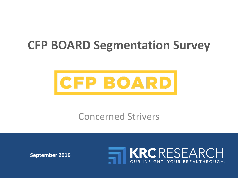# **CFP BOARD Segmentation Survey**



# Concerned Strivers

**September 2016**

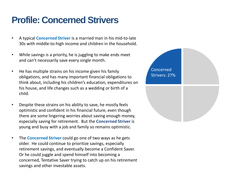## **Profile: Concerned Strivers**

- A typical **Concerned Striver** is a married man in his mid-to-late 30s with middle-to-high income and children in the household.
- While savings is a priority, he is juggling to make ends meet and can't necessarily save every single month.
- He has multiple strains on his income given his family obligations, and has many important financial obligations to think about, including his children's education, expenditures on his house, and life changes such as a wedding or birth of a child.
- Despite these strains on his ability to save, he mostly feels optimistic and confident in his financial future, even though there are some lingering worries about saving enough money, especially saving for retirement. But the **Concerned Striver** is young and busy with a job and family so remains optimistic.
- The **Concerned Striver** could go one of two ways as he gets older. He could continue to prioritize savings, especially retirement savings, and eventually become a Confident Saver. Or he could juggle and spend himself into becoming a concerned, Tentative Saver trying to catch up on his retirement savings and other investable assets.

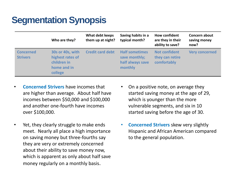## **Segmentation Synopsis**

|                                     | Who are they?                                                                 | What debt keeps<br>them up at night? | Saving habits in a<br>typical month?                                  | <b>How confident</b><br>are they in their<br>ability to save? | Concern about<br>saving money<br>now? |
|-------------------------------------|-------------------------------------------------------------------------------|--------------------------------------|-----------------------------------------------------------------------|---------------------------------------------------------------|---------------------------------------|
| <b>Concerned</b><br><b>Strivers</b> | 30s or 40s, with<br>highest rates of<br>children in<br>home and in<br>college | <b>Credit card debt</b>              | <b>Half sometimes</b><br>save monthly;<br>half always save<br>monthly | <b>Not confident</b><br>they can retire<br>comfortably        | <b>Very concerned</b>                 |

- **Concerned Strivers** have incomes that are higher than average. About half have incomes between \$50,000 and \$100,000 and another one-fourth have incomes over \$100,000.
- Yet, they clearly struggle to make ends meet. Nearly all place a high importance on saving money but three-fourths say they are very or extremely concerned about their ability to save money now, which is apparent as only about half save money regularly on a monthly basis.
- started saving before the age of 30. • On a positive note, on average they started saving money at the age of 29, which is younger than the more vulnerable segments, and six in 10
- **Concerned Strivers** skew very slightly Hispanic and African American compared to the general population.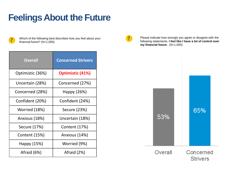#### **Feelings About the Future**



Which of the following best describes how you feel about your financial future? (N=1,000)

| <b>Overall</b>   | <b>Concerned Strivers</b> |  |
|------------------|---------------------------|--|
| Optimistic (36%) | <b>Optimistic (41%)</b>   |  |
| Uncertain (28%)  | Concerned (27%)           |  |
| Concerned (28%)  | Happy (26%)               |  |
| Confident (20%)  | Confident (24%)           |  |
| Worried (18%)    | Secure (23%)              |  |
| Anxious (18%)    | Uncertain (18%)           |  |
| Secure (17%)     | Content (17%)             |  |
| Content (15%)    | Anxious (14%)             |  |
| Happy (15%)      | Worried (9%)              |  |
| Afraid (6%)      | Afraid (2%)               |  |



Please indicate how strongly you agree or disagree with the following statements. **I feel like I have a lot of control over my financial future.** (N=1,000)

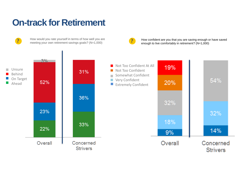#### **On-track for Retirement**

How would you rate yourself in terms of how well you are meeting your own retirement savings goals? (N=1,000)



How confident are you that you are saving enough or have saved enough to live comfortably in retirement? (N=1,000) **?**

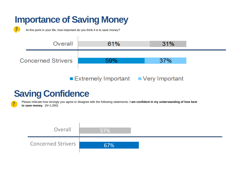## **Importance of Saving Money**



**?** At this point in your life, how important do you think it is to save money?



#### **Saving Confidence**

Please indicate how strongly you agree or disagree with the following statements. **I am confident in my understanding of how best** *to save money.* (N=1,000)

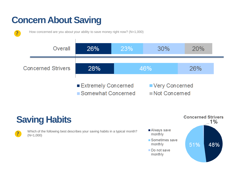# **Concern About Saving**



How concerned are you about your ability to save money right now? (N=1,000) **?**



# **Saving Habits**

| <b>Service Service</b> |  |
|------------------------|--|
|                        |  |

Which of the following best describes your saving habits in a typical month? (N=1,000)